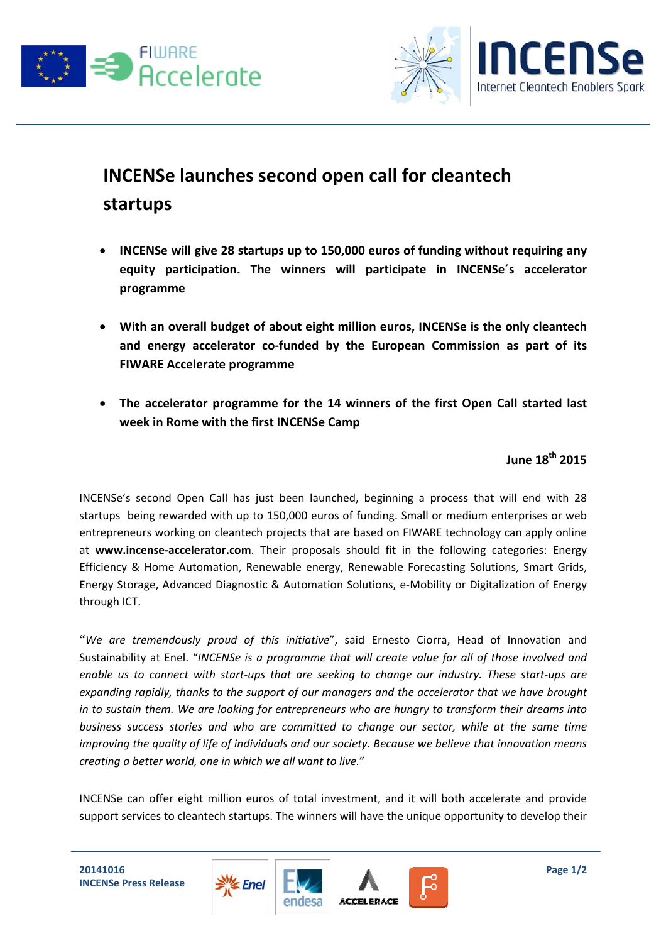



## **INCENSe launches second open call for cleantech startups**

- **INCENSe will give 28 startups up to 150,000 euros of funding without requiring any equity participation. The winners will participate in INCENSe´s accelerator programme**
- **With an overall budget of about eight million euros, INCENSe is the only cleantech and energy accelerator co‐funded by the European Commission as part of its FIWARE Accelerate programme**
- **The accelerator programme for the 14 winners of the first Open Call started last week in Rome with the first INCENSe Camp**

**June 18th 2015**

INCENSe's second Open Call has just been launched, beginning a process that will end with 28 startups being rewarded with up to 150,000 euros of funding. Small or medium enterprises or web entrepreneurs working on cleantech projects that are based on FIWARE technology can apply online at **www.incense‐accelerator.com**. Their proposals should fit in the following categories: Energy Efficiency & Home Automation, Renewable energy, Renewable Forecasting Solutions, Smart Grids, Energy Storage, Advanced Diagnostic & Automation Solutions, e‐Mobility or Digitalization of Energy through ICT.

"*We are tremendously proud of this initiative*", said Ernesto Ciorra, Head of Innovation and Sustainability at Enel. "*INCENSe is a programme that will create value for all of those involved and* enable us to connect with start-ups that are seeking to change our industry. These start-ups are *expanding rapidly, thanks to the support of our managers and the accelerator that we have brought in to sustain them. We are looking for entrepreneurs who are hungry to transform their dreams into business success stories and who are committed to change our sector, while at the same time improving the quality of life of individuals and our society. Because we believe that innovation means creating a better world, one in which we all want to live.*"

INCENSe can offer eight million euros of total investment, and it will both accelerate and provide support services to cleantech startups. The winners will have the unique opportunity to develop their